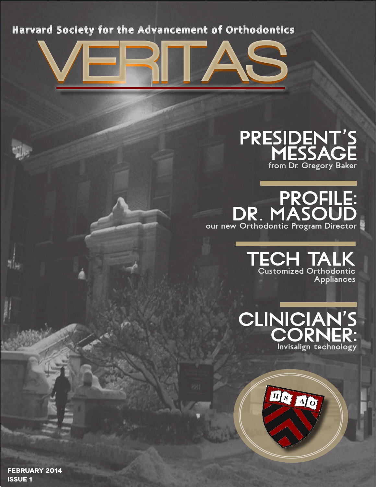

## **PRESIDENT'S MESSAGE from Dr. Gregory Baker**

**PROFILE: DR . MASOUD our new Orthodontic Program Director**

> **TECH TALK Customized Orthodontic Appliances**





**FEBRUARY 2014 ISSUE 1**